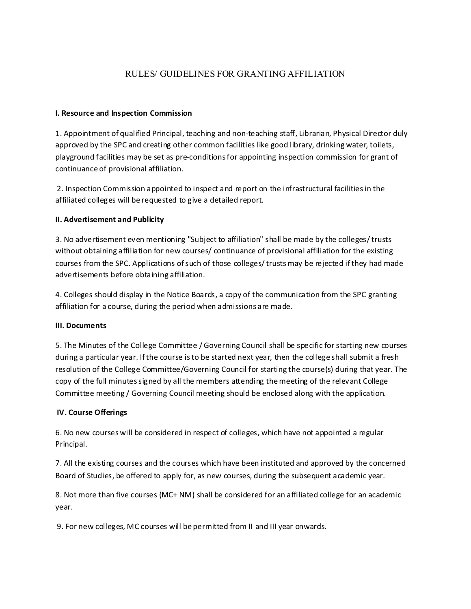# RULES/ GUIDELINES FOR GRANTING AFFILIATION

#### **I. Resource and Inspection Commission**

1. Appointment of qualified Principal, teaching and non-teaching staff, Librarian, Physical Director duly approved by the SPC and creating other common facilities like good library, drinking water, toilets, playground facilities may be set as pre-conditionsfor appointing inspection commission for grant of continuance of provisional affiliation.

2. Inspection Commission appointed to inspect and report on the infrastructural facilitiesin the affiliated colleges will be requested to give a detailed report.

#### **II. Advertisement and Publicity**

3. No advertisement even mentioning "Subject to affiliation" shall be made by the colleges/trusts without obtaining affiliation for new courses/ continuance of provisional affiliation for the existing courses from the SPC. Applications ofsuch of those colleges/trustsmay be rejected ifthey had made advertisements before obtaining affiliation.

4. Colleges should display in the Notice Boards, a copy of the communication from the SPC granting affiliation for a course, during the period when admissions are made.

#### **III. Documents**

5. The Minutes of the College Committee / Governing Council shall be specific for starting new courses during a particular year. Ifthe course isto be started next year, then the college shall submit a fresh resolution of the College Committee/Governing Council for starting the course(s) during that year. The copy of the full minutes signed by all the members attending the meeting of the relevant College Committee meeting / Governing Council meeting should be enclosed along with the application.

## **IV. Course Offerings**

6. No new courses will be considered in respect of colleges, which have not appointed a regular Principal.

7. All the existing courses and the courses which have been instituted and approved by the concerned Board of Studies, be offered to apply for, as new courses, during the subsequent academic year.

8. Not more than five courses (MC+ NM) shall be considered for an affiliated college for an academic year.

9. For new colleges, MC courses will be permitted from II and III year onwards.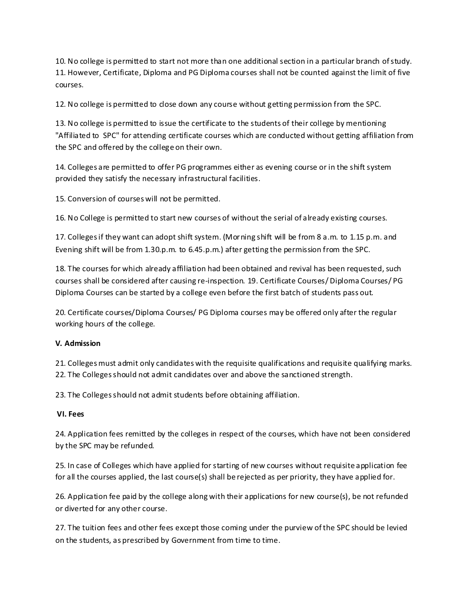10. No college is permitted to start not more than one additional section in a particular branch ofstudy. 11. However, Certificate, Diploma and PG Diploma courses shall not be counted against the limit of five courses.

12. No college is permitted to close down any course without getting permission from the SPC.

13. No college is permitted to issue the certificate to the students of their college by mentioning "Affiliated to SPC" for attending certificate courses which are conducted without getting affiliation from the SPC and offered by the college on their own.

14. Colleges are permitted to offer PG programmes either as evening course or in the shift system provided they satisfy the necessary infrastructural facilities.

15. Conversion of courses will not be permitted.

16. No College is permitted to start new courses of without the serial of already existing courses.

17. Collegesif they want can adopt shift system. (Morning shift will be from 8 a.m. to 1.15 p.m. and Evening shift will be from 1.30.p.m. to 6.45.p.m.) after getting the permission from the SPC.

18. The courses for which already affiliation had been obtained and revival has been requested, such courses shall be considered after causing re-inspection. 19. Certificate Courses/ Diploma Courses/ PG Diploma Courses can be started by a college even before the first batch of students pass out.

20. Certificate courses/Diploma Courses/ PG Diploma courses may be offered only after the regular working hours of the college.

## **V. Admission**

21. Collegesmust admit only candidates with the requisite qualifications and requisite qualifying marks. 22. The Collegesshould not admit candidates over and above the sanctioned strength.

23. The Colleges should not admit students before obtaining affiliation.

## **VI. Fees**

24. Application fees remitted by the colleges in respect of the courses, which have not been considered by the SPC may be refunded.

25. In case of Colleges which have applied for starting of new courses without requisite application fee for all the courses applied, the last course(s) shall be rejected as per priority, they have applied for.

26. Application fee paid by the college along with their applications for new course(s), be not refunded or diverted for any other course.

27. The tuition fees and other fees except those coming under the purview ofthe SPC should be levied on the students, as prescribed by Government from time to time.